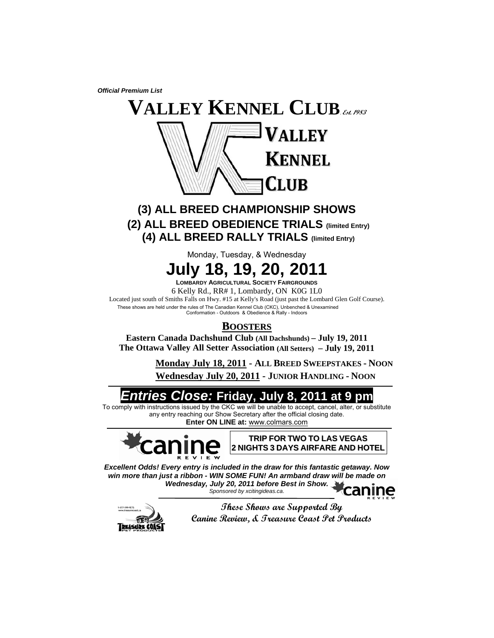*Official Premium List* 



# **(3) ALL BREED CHAMPIONSHIP SHOWS (2) ALL BREED OBEDIENCE TRIALS (limited Entry) (4) ALL BREED RALLY TRIALS (limited Entry)**

Monday, Tuesday, & Wednesday



**LOMBARDY AGRICULTURAL SOCIETY FAIRGROUNDS**

6 Kelly Rd., RR# 1, Lombardy, ON K0G 1L0

Located just south of Smiths Falls on Hwy. #15 at Kelly's Road (just past the Lombard Glen Golf Course). These shows are held under the rules of The Canadian Kennel Club (CKC), Unbenched & Unexamined Conformation - Outdoors & Obedience & Rally - Indoors

# **BOOSTERS**

**Eastern Canada Dachshund Club (All Dachshunds) – July 19, 2011 The Ottawa Valley All Setter Association (All Setters) – July 19, 2011** 

> **Monday July 18, 2011 - ALL BREED SWEEPSTAKES - NOON Wednesday July 20, 2011 - JUNIOR HANDLING - NOON**

# *Entries Close:* **Friday, July 8, 2011 at 9 pm**

To comply with instructions issued by the CKC we will be unable to accept, cancel, alter, or substitute any entry reaching our Show Secretary after the official closing date. **Enter ON LINE at:** www.colmars.com



**TRIP FOR TWO TO LAS VEGAS 2 NIGHTS 3 DAYS AIRFARE AND HOTEL**

*Excellent Odds! Every entry is included in the draw for this fantastic getaway. Now win more than just a ribbon - WIN SOME FUN! An armband draw will be made on Wednesday, July 20, 2011 before Best in Show. Sponsored by xcitingideas.ca*.



**These Shows are Supported By Canine Review, & Treasure Coast Pet Products**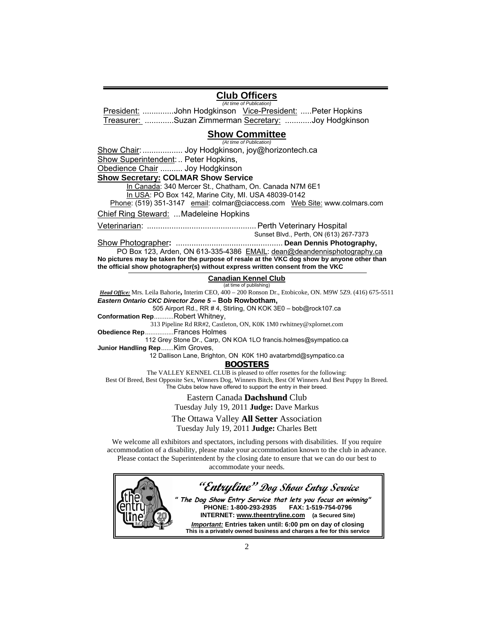## **Club Officers**

*(At time of Publication)* President: ..............John Hodgkinson Vice-President: .....Peter Hopkins Treasurer: .............Suzan Zimmerman Secretary: ............Joy Hodgkinson

#### **Show Committee** *(At time of Publication)*

Show Chair:.................. Joy Hodgkinson, joy@horizontech.ca

Show Superintendent: .. Peter Hopkins,

Obedience Chair .......... Joy Hodgkinson

**Show Secretary: COLMAR Show Service**

In Canada: 340 Mercer St., Chatham, On. Canada N7M 6E1

In USA: PO Box 142, Marine City, MI. USA 48039-0142

Phone: (519) 351-3147 email: colmar@ciaccess.com Web Site: www.colmars.com

Chief Ring Steward: ...Madeleine Hopkins

Veterinarian: ................................................. Perth Veterinary Hospital

Sunset Blvd., Perth, ON (613) 267-7373

Show Photographer**:** ................................................ **Dean Dennis Photography,**

PO Box 123, Arden, ON 613-335-4386 EMAIL: dean@deandennisphotography.ca **No pictures may be taken for the purpose of resale at the VKC dog show by anyone other than the official show photographer(s) without express written consent from the VKC**

> **Canadian Kennel Club** (at time of publishing)

*Head Office:* Mrs. Leila Bahorie**,** Interim CEO, 400 – 200 Ronson Dr., Etobicoke, ON. M9W 5Z9. (416) 675-5511 *Eastern Ontario CKC Director Zone 5* **– Bob Rowbotham,**

505 Airport Rd., RR # 4, Stirling, ON KOK 3E0 – bob@rock107.ca **Conformation Rep**...........Robert Whitney,

313 Pipeline Rd RR#2, Castleton, ON, K0K 1M0 rwhitney@xplornet.com

**Obedience Rep**................Frances Holmes

112 Grey Stone Dr., Carp, ON KOA 1LO francis.holmes@sympatico.ca **Junior Handling Rep**.......Kim Groves,

12 Dallison Lane, Brighton, ON K0K 1H0 avatarbmd@sympatico.ca

**BOOSTERS**

The VALLEY KENNEL CLUB is pleased to offer rosettes for the following: Best Of Breed, Best Opposite Sex, Winners Dog, Winners Bitch, Best Of Winners And Best Puppy In Breed*.* The Clubs below have offered to support the entry in their breed.

> Eastern Canada **Dachshund** Club Tuesday July 19, 2011 **Judge:** Dave Markus

The Ottawa Valley **All Setter** Association

Tuesday July 19, 2011 **Judge:** Charles Bett

We welcome all exhibitors and spectators, including persons with disabilities. If you require accommodation of a disability, please make your accommodation known to the club in advance. Please contact the Superintendent by the closing date to ensure that we can do our best to accommodate your needs.

**"Entryline" Dog Show Entry Service " The Dog Show Entry Service that lets you focus on winning"** PHONE: 1-800-293-2935 **INTERNET: www.theentryline.com (a Secured Site)**  *Important:* **Entries taken until: 6:00 pm on day of closing This is a privately owned business and charges a fee for this service**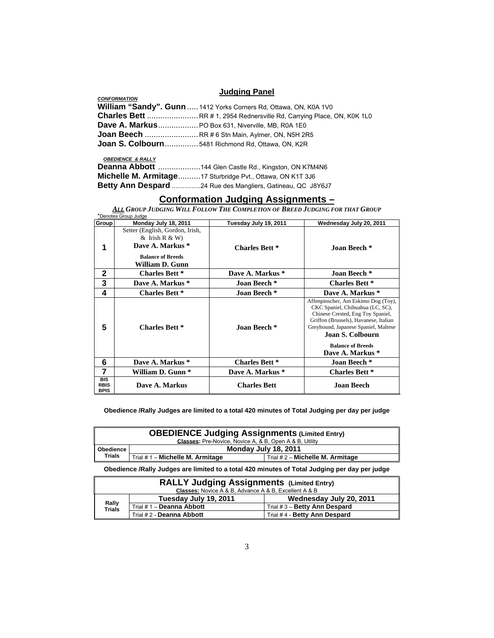## **Judging Panel**

|                     | <b>UWWWIIM LAILA</b>                                              |
|---------------------|-------------------------------------------------------------------|
| <b>CONFORMATION</b> |                                                                   |
|                     | William "Sandy". Gunn  1412 Yorks Corners Rd, Ottawa, ON, K0A 1V0 |
|                     |                                                                   |
|                     | Dave A. Markus PO Box 631, Niverville, MB, R0A 1E0                |
|                     |                                                                   |
|                     | Joan S. Colbourn 5481 Richmond Rd, Ottawa, ON, K2R                |

### *OBEDIENCE & RALLY*

| Deanna Abbott  144 Glen Castle Rd., Kingston, ON K7M4N6     |
|-------------------------------------------------------------|
| Michelle M. Armitage 17 Sturbridge Pvt., Ottawa, ON K1T 3J6 |
| Betty Ann Despard 24 Rue des Mangliers, Gatineau, QC J8Y6J7 |

## **Conformation Judging Assignments –**

*ALL GROUP JUDGING WILL FOLLOW THE COMPLETION OF BREED JUDGING FOR THAT GROUP* \*Denotes Group Judge

| Group                                    | Monday July 18, 2011                                                                                                     | Tuesday July 19, 2011 | Wednesday July 20, 2011                                                                                                                                                                                                                                           |
|------------------------------------------|--------------------------------------------------------------------------------------------------------------------------|-----------------------|-------------------------------------------------------------------------------------------------------------------------------------------------------------------------------------------------------------------------------------------------------------------|
| 1                                        | Setter (English, Gordon, Irish,<br>$&$ Irish R $&$ W)<br>Dave A. Markus *<br><b>Balance of Breeds</b><br>William D. Gunn | <b>Charles Bett *</b> | Joan Beech *                                                                                                                                                                                                                                                      |
| $\mathbf{2}$                             | <b>Charles Bett *</b>                                                                                                    | Dave A. Markus *      | Joan Beech *                                                                                                                                                                                                                                                      |
| 3                                        | Dave A. Markus *                                                                                                         | Joan Beech *          | <b>Charles Bett *</b>                                                                                                                                                                                                                                             |
| 4                                        | <b>Charles Bett *</b>                                                                                                    | Joan Beech *          | Dave A. Markus *                                                                                                                                                                                                                                                  |
| 5                                        | <b>Charles Bett *</b>                                                                                                    | Joan Beech *          | Affenpinscher, Am Eskimo Dog (Toy),<br>CKC Spaniel, Chihuahua (LC, SC),<br>Chinese Crested, Eng Toy Spaniel,<br>Griffon (Brussels), Havanese, Italian<br>Greyhound, Japanese Spaniel, Maltese<br>Joan S. Colbourn<br><b>Balance of Breeds</b><br>Dave A. Markus * |
| 6                                        | Dave A. Markus *                                                                                                         | <b>Charles Bett *</b> | Joan Beech *                                                                                                                                                                                                                                                      |
| 7                                        | William D. Gunn *                                                                                                        | Dave A. Markus *      | <b>Charles Bett *</b>                                                                                                                                                                                                                                             |
| <b>BIS</b><br><b>RBIS</b><br><b>BPIS</b> | Dave A. Markus                                                                                                           | <b>Charles Bett</b>   | <b>Joan Beech</b>                                                                                                                                                                                                                                                 |

#### **Obedience /Rally Judges are limited to a total 420 minutes of Total Judging per day per judge**

| <b>OBEDIENCE Judging Assignments (Limited Entry)</b> |                                                                |                                  |
|------------------------------------------------------|----------------------------------------------------------------|----------------------------------|
|                                                      | <b>Classes:</b> Pre-Novice, Novice A, & B, Open A & B, Utility |                                  |
| ∣ Obedience ∣                                        |                                                                | Monday July 18, 2011             |
| Trials                                               | Trial # 1 - Michelle M. Armitage                               | Trial # 2 - Michelle M. Armitage |

**Obedience /Rally Judges are limited to a total 420 minutes of Total Judging per day per judge** 

| <b>RALLY Judging Assignments (Limited Entry)</b><br><b>Classes:</b> Novice A & B, Advance A & B, Excellent A & B |                           |                               |
|------------------------------------------------------------------------------------------------------------------|---------------------------|-------------------------------|
|                                                                                                                  | Tuesday July 19, 2011     | Wednesday July 20, 2011       |
| Rally<br>Trials                                                                                                  | Trial # 1 - Deanna Abbott | Trial # 3 - Betty Ann Despard |
|                                                                                                                  | Trial # 2 - Deanna Abbott | Trial #4 - Betty Ann Despard  |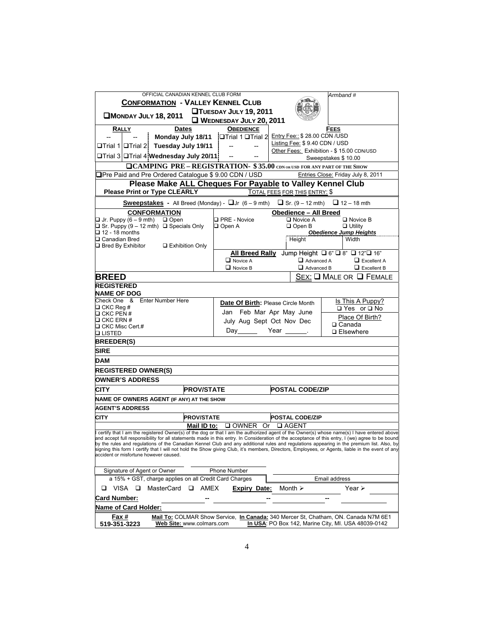| OFFICIAL CANADIAN KENNEL CLUB FORM                                                                                                                                                                                                                                                            |                                           |                                           | Armband #                                                                           |
|-----------------------------------------------------------------------------------------------------------------------------------------------------------------------------------------------------------------------------------------------------------------------------------------------|-------------------------------------------|-------------------------------------------|-------------------------------------------------------------------------------------|
| <b>CONFORMATION - VALLEY KENNEL CLUB</b>                                                                                                                                                                                                                                                      |                                           |                                           |                                                                                     |
| MONDAY JULY 18, 2011                                                                                                                                                                                                                                                                          | <b>QTUESDAY JULY 19, 2011</b>             |                                           |                                                                                     |
|                                                                                                                                                                                                                                                                                               | WEDNESDAY JULY 20, 2011                   |                                           |                                                                                     |
| RALLY<br>Dates                                                                                                                                                                                                                                                                                | <b>OBEDIENCE</b>                          |                                           | FEES                                                                                |
| Monday July 18/11   Trial 1 Trial 2 Entry Fee:: \$28.00 CDN / USD                                                                                                                                                                                                                             |                                           | Listing Fee: \$9.40 CDN / USD             |                                                                                     |
| □Trial 1 <b>□Trial 2</b> Tuesday July 19/11                                                                                                                                                                                                                                                   | --                                        |                                           | Other Fees: Exhibition - \$15.00 CDN/USD                                            |
| □Trial 3 <b>□Trial 4 Wednesday July 20/11</b>                                                                                                                                                                                                                                                 |                                           |                                           | Sweepstakes \$10.00                                                                 |
| <b>QCAMPING PRE - REGISTRATION- \$35.00</b> CDN OR USD FOR ANY PART OF THE SHOW                                                                                                                                                                                                               |                                           |                                           |                                                                                     |
| <b></b> TPre Paid and Pre Ordered Catalogue \$9.00 CDN / USD                                                                                                                                                                                                                                  |                                           |                                           | Entries Close: Friday July 8, 2011                                                  |
| Please Make ALL Cheques For Payable to Valley Kennel Club<br><b>Please Print or Type CLEARLY</b>                                                                                                                                                                                              |                                           | TOTAL FEES FOR THIS ENTRY: \$             |                                                                                     |
| Sweepstakes - All Breed (Monday) - $\Box$ Jr $(6 - 9 \text{ mth})$ $\Box$ Sr. $(9 - 12 \text{ mth})$ $\Box$ 12 - 18 mth                                                                                                                                                                       |                                           |                                           |                                                                                     |
| <b>CONFORMATION</b>                                                                                                                                                                                                                                                                           |                                           | <b>Obedience - All Breed</b>              |                                                                                     |
| $\Box$ Jr. Puppy (6 – 9 mth)<br>$\Box$ Open                                                                                                                                                                                                                                                   | <b>Q PRE - Novice</b>                     | □ Novice A                                | $\square$ Novice B                                                                  |
| $\Box$ Sr. Puppy (9 – 12 mth) $\Box$ Specials Only<br>$□$ 12 - 18 months                                                                                                                                                                                                                      | $\Box$ Open A                             | $\Box$ Open B                             | $\Box$ Utility<br><b>Obedience Jump Heights</b>                                     |
| □ Canadian Bred                                                                                                                                                                                                                                                                               |                                           | Height                                    | Width                                                                               |
| $\Box$ Bred By Exhibitor<br>□ Exhibition Only                                                                                                                                                                                                                                                 |                                           |                                           |                                                                                     |
|                                                                                                                                                                                                                                                                                               |                                           |                                           | All Breed Rally Jump Height □ 6" □ 8" □ 12" □ 16"                                   |
|                                                                                                                                                                                                                                                                                               | $\Box$ Novice A<br>$\Box$ Novice B        | Advanced A<br>Advanced B                  | $\Box$ Excellent A<br>$\Box$ Excellent B                                            |
| <b>BREED</b>                                                                                                                                                                                                                                                                                  |                                           |                                           | $Sex: \square$ Male or $\square$ Female                                             |
| <b>REGISTERED</b>                                                                                                                                                                                                                                                                             |                                           |                                           |                                                                                     |
| <b>NAME OF DOG</b>                                                                                                                                                                                                                                                                            |                                           |                                           |                                                                                     |
| Check One & Enter Number Here                                                                                                                                                                                                                                                                 | <b>Date Of Birth: Please Circle Month</b> |                                           | Is This A Puppy?                                                                    |
| $\Box$ CKC Reg #<br>$\Box$ CKC PEN #                                                                                                                                                                                                                                                          | Jan Feb Mar Apr May June                  |                                           | □ Yes or □ No                                                                       |
| $\square$ CKC ERN #                                                                                                                                                                                                                                                                           | July Aug Sept Oct Nov Dec                 |                                           | Place Of Birth?                                                                     |
| $\Box$ CKC Misc Cert.#                                                                                                                                                                                                                                                                        | Day                                       | Year ___                                  | $\Box$ Canada<br>□ Elsewhere                                                        |
| <b>QLISTED</b><br><b>BREEDER(S)</b>                                                                                                                                                                                                                                                           |                                           |                                           |                                                                                     |
| <b>SIRE</b>                                                                                                                                                                                                                                                                                   |                                           |                                           |                                                                                     |
| DAM                                                                                                                                                                                                                                                                                           |                                           |                                           |                                                                                     |
| <b>REGISTERED OWNER(S)</b>                                                                                                                                                                                                                                                                    |                                           |                                           |                                                                                     |
|                                                                                                                                                                                                                                                                                               |                                           |                                           |                                                                                     |
| <b>OWNER'S ADDRESS</b>                                                                                                                                                                                                                                                                        |                                           |                                           |                                                                                     |
| <b>PROV/STATE</b><br>CITY                                                                                                                                                                                                                                                                     |                                           | <b>POSTAL CODE/ZIP</b>                    |                                                                                     |
| NAME OF OWNERS AGENT (IF ANY) AT THE SHOW                                                                                                                                                                                                                                                     |                                           |                                           |                                                                                     |
| <b>AGENT'S ADDRESS</b>                                                                                                                                                                                                                                                                        |                                           |                                           |                                                                                     |
| <b>PROV/STATE</b><br>CITY<br>Mail ID to:                                                                                                                                                                                                                                                      |                                           | <b>POSTAL CODE/ZIP</b><br>Or $\Box$ AGENT |                                                                                     |
| I certify that I am the registered Owner(s) of the dog or that I am the authorized agent of the Owner(s) whose name(s) I have entered above                                                                                                                                                   | $\square$ OWNER                           |                                           |                                                                                     |
| and accept full responsibility for all statements made in this entry. In Consideration of the acceptance of this entry, I (we) agree to be bound<br>by the rules and regulations of the Canadian Kennel Club and any additional rules and regulations appearing in the premium list. Also, by |                                           |                                           |                                                                                     |
| signing this form I certify that I will not hold the Show giving Club, it's members, Directors, Employees, or Agents, liable in the event of any                                                                                                                                              |                                           |                                           |                                                                                     |
| accident or misfortune however caused.                                                                                                                                                                                                                                                        |                                           |                                           |                                                                                     |
| Signature of Agent or Owner                                                                                                                                                                                                                                                                   | Phone Number                              |                                           |                                                                                     |
| a 15% + GST, charge applies on all Credit Card Charges                                                                                                                                                                                                                                        |                                           |                                           | Email address                                                                       |
| <b>Q</b> AMEX<br>VISA □<br>MasterCard<br>o                                                                                                                                                                                                                                                    | <b>Expiry Date:</b>                       | Month $\geq$                              | Year $\triangleright$                                                               |
| <b>Card Number:</b>                                                                                                                                                                                                                                                                           |                                           |                                           |                                                                                     |
| Name of Card Holder:                                                                                                                                                                                                                                                                          |                                           |                                           |                                                                                     |
| Fax #                                                                                                                                                                                                                                                                                         |                                           |                                           | Mail To: COLMAR Show Service, In Canada: 340 Mercer St, Chatham, ON. Canada N7M 6E1 |
| Web Site: www.colmars.com<br>519-351-3223                                                                                                                                                                                                                                                     |                                           |                                           | In USA: PO Box 142, Marine City, MI. USA 48039-0142                                 |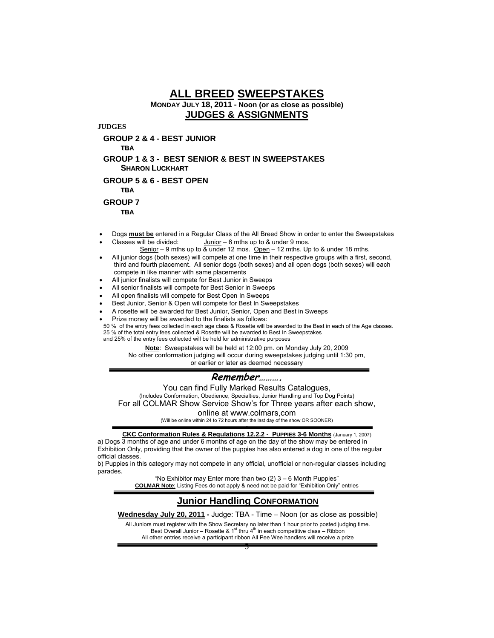# **ALL BREED SWEEPSTAKES MONDAY JULY 18, 2011 - Noon (or as close as possible) JUDGES & ASSIGNMENTS**

**JUDGES**

**GROUP 2 & 4 - BEST JUNIOR** 

**TBA**

**GROUP 1 & 3 - BEST SENIOR & BEST IN SWEEPSTAKES SHARON LUCKHART**

**GROUP 5 & 6 - BEST OPEN** 

**TBA**

**GROUP 7** 

**TBA**

- Dogs **must be** entered in a Regular Class of the All Breed Show in order to enter the Sweepstakes Classes will be divided:  $\frac{\text{Junior}}{}$  – 6 mths up to & under 9 mos.
- Senior 9 mths up to  $\overline{\&}$  under 12 mos. Open 12 mths. Up to  $\&$  under 18 mths.
- All junior dogs (both sexes) will compete at one time in their respective groups with a first, second, third and fourth placement. All senior dogs (both sexes) and all open dogs (both sexes) will each compete in like manner with same placements
- All junior finalists will compete for Best Junior in Sweeps
- All senior finalists will compete for Best Senior in Sweeps
- All open finalists will compete for Best Open In Sweeps
- Best Junior, Senior & Open will compete for Best In Sweepstakes
- A rosette will be awarded for Best Junior, Senior, Open and Best in Sweeps
- Prize money will be awarded to the finalists as follows:

50 % of the entry fees collected in each age class & Rosette will be awarded to the Best in each of the Age classes. 25 % of the total entry fees collected & Rosette will be awarded to Best In Sweepstakes and 25% of the entry fees collected will be held for administrative purposes

**Note**: Sweepstakes will be held at 12:00 pm. on Monday July 20, 2009 No other conformation judging will occur during sweepstakes judging until 1:30 pm, or earlier or later as deemed necessary

# **Remember……….**

You can find Fully Marked Results Catalogues, (Includes Conformation, Obedience, Specialties, Junior Handling and Top Dog Points) For all COLMAR Show Service Show's for Three years after each show,

online at www.colmars,com

(Will be online within 24 to 72 hours after the last day of the show OR SOONER)

- **CKC Conformation Rules & Regulations 12.2.2 - PUPPIES 3-6 Months** (January 1, 2007)

a) Dogs 3 months of age and under 6 months of age on the day of the show may be entered in Exhibition Only, providing that the owner of the puppies has also entered a dog in one of the regular official classes.

b) Puppies in this category may not compete in any official, unofficial or non-regular classes including parades.

"No Exhibitor may Enter more than two (2) 3 – 6 Month Puppies" **COLMAR Note**: Listing Fees do not apply & need not be paid for "Exhibition Only" entries

## **Junior Handling CONFORMATION**

**Wednesday July 20, 2011 -** Judge: TBA - Time – Noon (or as close as possible)

All Juniors must register with the Show Secretary no later than 1 hour prior to posted judging time. Best Overall Junior – Rosette & 1<sup>st</sup> thru 4<sup>th</sup> in each competitive class – Ribbon Best Overall Junior – Rosette & 1<sup>st</sup> thru 4<sup>th</sup> in each competitive class – Ribbon All other entries receive a participant ribbon All Pee Wee handlers will receive a prize

5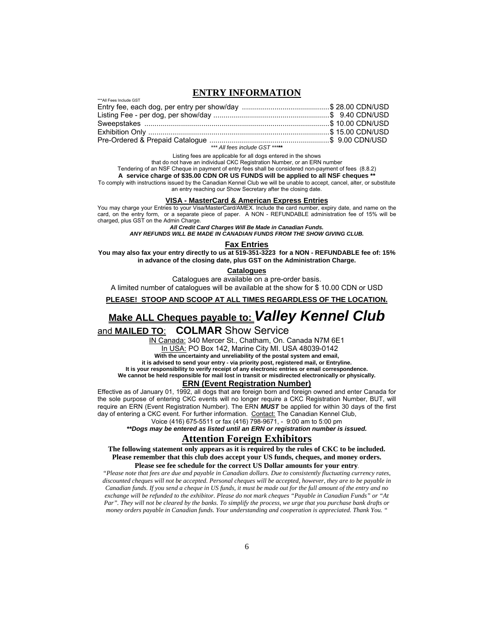### **ENTRY INFORMATION**

*\*\*\* All fees include GST \*\*\****\*\*** 

Listing fees are applicable for all dogs entered in the shows

that do not have an individual CKC Registration Number, or an ERN number

Tendering of an NSF Cheque in payment of entry fees shall be considered non-payment of fees (8.8.2) **A service charge of \$35.00 CDN OR US FUNDS will be applied to all NSF cheques \*\***

To comply with instructions issued by the Canadian Kennel Club we will be unable to accept, cancel, alter, or substitute an entry reaching our Show Secretary after the closing date.

#### **VISA - MasterCard & American Express Entries**

You may charge your Entries to your Visa/MasterCard/AMEX. Include the card number, expiry date, and name on the card, on the entry form, or a separate piece of paper. A NON - REFUNDABLE administration fee of 15% will be charged, plus GST on the Admin Charge.

*All Credit Card Charges Will Be Made in Canadian Funds.*

*ANY REFUNDS WILL BE MADE IN CANADIAN FUNDS FROM THE SHOW GIVING CLUB.* 

#### **Fax Entries**

**You may also fax your entry directly to us at 519-351-3223 for a NON - REFUNDABLE fee of: 15% in advance of the closing date, plus GST on the Administration Charge.**

**Catalogues**

Catalogues are available on a pre-order basis. A limited number of catalogues will be available at the show for \$ 10.00 CDN or USD

## **PLEASE! STOOP AND SCOOP AT ALL TIMES REGARDLESS OF THE LOCATION.**

# **Make ALL Cheques payable to:** *Valley Kennel Club*

and **MAILED TO**: **COLMAR** Show Service

\*\*\*All Fees Include GST

IN Canada: 340 Mercer St., Chatham, On. Canada N7M 6E1 In USA: PO Box 142, Marine City MI. USA 48039-0142 **With the uncertainty and unreliability of the postal system and email,** 

**it is advised to send your entry - via priority post, registered mail, or Entryline.** 

**It is your responsibility to verify receipt of any electronic entries or email correspondence.** 

**We cannot be held responsible for mail lost in transit or misdirected electronically or physically.** 

#### **ERN (Event Registration Number)**

Effective as of January 01, 1992, all dogs that are foreign born and foreign owned and enter Canada for the sole purpose of entering CKC events will no longer require a CKC Registration Number, BUT, will require an ERN (Event Registration Number). The ERN *MUST* be applied for within 30 days of the first day of entering a CKC event. For further information. Contact: The Canadian Kennel Club,

Voice (416) 675-5511 or fax (416) 798-9671, - 9:00 am to 5:00 pm

*\*\*Dogs may be entered as listed until an ERN or registration number is issued.* 

## **Attention Foreign Exhibitors**

**The following statement only appears as it is required by the rules of CKC to be included. Please remember that this club does accept your US funds, cheques, and money orders. Please see fee schedule for the correct US Dollar amounts for your entry.** 

*"Please note that fees are due and payable in Canadian dollars. Due to consistently fluctuating currency rates, discounted cheques will not be accepted. Personal cheques will be accepted, however, they are to be payable in Canadian funds. If you send a cheque in US funds, it must be made out for the full amount of the entry and no exchange will be refunded to the exhibitor. Please do not mark cheques "Payable in Canadian Funds" or "At Par". They will not be cleared by the banks. To simplify the process, we urge that you purchase bank drafts or money orders payable in Canadian funds. Your understanding and cooperation is appreciated. Thank You. "*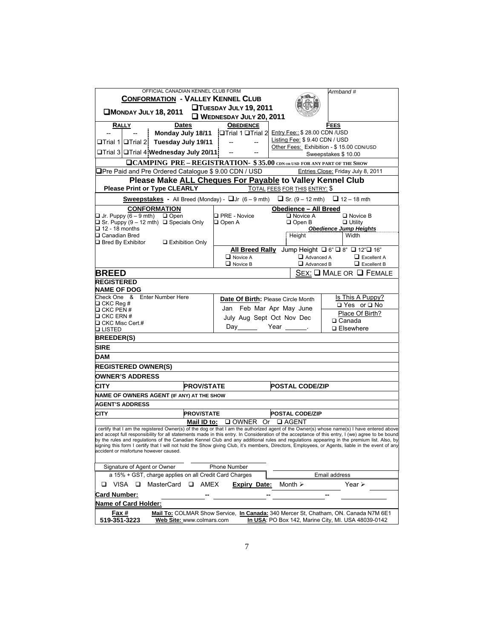| OFFICIAL CANADIAN KENNEL CLUB FORM                                                                                                                                                                                                                                                                                                                                                                                                                                                          |                                    |                                     | Armband #                                                                           |
|---------------------------------------------------------------------------------------------------------------------------------------------------------------------------------------------------------------------------------------------------------------------------------------------------------------------------------------------------------------------------------------------------------------------------------------------------------------------------------------------|------------------------------------|-------------------------------------|-------------------------------------------------------------------------------------|
| <b>CONFORMATION - VALLEY KENNEL CLUB</b><br><b>TUESDAY JULY 19, 2011</b>                                                                                                                                                                                                                                                                                                                                                                                                                    |                                    |                                     |                                                                                     |
| <b>CMONDAY JULY 18, 2011</b>                                                                                                                                                                                                                                                                                                                                                                                                                                                                | WEDNESDAY JULY 20, 2011            |                                     |                                                                                     |
| RALLY<br>Dates                                                                                                                                                                                                                                                                                                                                                                                                                                                                              | <b>OBEDIENCE</b>                   |                                     | FEES                                                                                |
| Monday July 18/11   Trial 1 Trial 2 Entry Fee:: \$28.00 CDN / USD                                                                                                                                                                                                                                                                                                                                                                                                                           |                                    |                                     |                                                                                     |
| Tuesday July 19/11<br>$\Box$ Trial 1 $\Box$ Trial 2                                                                                                                                                                                                                                                                                                                                                                                                                                         | $\overline{\phantom{a}}$           | Listing Fee: \$9.40 CDN / USD       |                                                                                     |
| □Trial 3 □Trial 4 Wednesday July 20/11                                                                                                                                                                                                                                                                                                                                                                                                                                                      |                                    |                                     | Other Fees: Exhibition - \$15.00 CDN/USD                                            |
|                                                                                                                                                                                                                                                                                                                                                                                                                                                                                             |                                    |                                     | Sweepstakes \$10.00                                                                 |
| <b>QCAMPING PRE-REGISTRATION- \$35.00</b> CDN OR USD FOR ANY PART OF THE SHOW                                                                                                                                                                                                                                                                                                                                                                                                               |                                    |                                     | Entries Close: Friday July 8, 2011                                                  |
| <b></b> Pre Paid and Pre Ordered Catalogue \$ 9.00 CDN / USD<br>Please Make ALL Cheques For Payable to Valley Kennel Club                                                                                                                                                                                                                                                                                                                                                                   |                                    |                                     |                                                                                     |
| <b>Please Print or Type CLEARLY</b>                                                                                                                                                                                                                                                                                                                                                                                                                                                         |                                    | TOTAL FEES FOR THIS ENTRY: \$       |                                                                                     |
| <b>Sweepstakes -</b> All Breed (Monday) - $\Box$ or $(6-9$ mth) $\Box$ Sr. $(9-12$ mth) $\Box$ 12 - 18 mth                                                                                                                                                                                                                                                                                                                                                                                  |                                    |                                     |                                                                                     |
| <b>CONFORMATION</b><br>$\Box$ Jr. Puppy (6 – 9 mth) $\Box$ Open                                                                                                                                                                                                                                                                                                                                                                                                                             | □ PRE - Novice                     | Obedience - All Breed<br>□ Novice A | $\square$ Novice B                                                                  |
| $\Box$ Sr. Puppy (9 – 12 mth) $\Box$ Specials Only                                                                                                                                                                                                                                                                                                                                                                                                                                          | $\Box$ Open A                      | $\Box$ Open B                       | $\Box$ Utility                                                                      |
| $\Box$ 12 - 18 months                                                                                                                                                                                                                                                                                                                                                                                                                                                                       |                                    |                                     | <b>Obedience Jump Heights</b>                                                       |
| □ Canadian Bred<br>□ Exhibition Only<br>$\Box$ Bred By Exhibitor                                                                                                                                                                                                                                                                                                                                                                                                                            |                                    | Height                              | Width                                                                               |
|                                                                                                                                                                                                                                                                                                                                                                                                                                                                                             |                                    |                                     | All Breed Rally Jump Height □ 6" □ 8" □ 12" □ 16"                                   |
|                                                                                                                                                                                                                                                                                                                                                                                                                                                                                             | $\Box$ Novice A                    | $\Box$ Advanced A                   | $\Box$ Excellent A                                                                  |
|                                                                                                                                                                                                                                                                                                                                                                                                                                                                                             | $\Box$ Novice B                    | Advanced B                          | $\Box$ Excellent B                                                                  |
| <b>BREED</b>                                                                                                                                                                                                                                                                                                                                                                                                                                                                                |                                    |                                     | $Sex$ : $\square$ Male or $\square$ Female                                          |
| <b>REGISTERED</b><br><b>NAME OF DOG</b>                                                                                                                                                                                                                                                                                                                                                                                                                                                     |                                    |                                     |                                                                                     |
| Check One &<br><b>Enter Number Here</b>                                                                                                                                                                                                                                                                                                                                                                                                                                                     | Date Of Birth: Please Circle Month |                                     | Is This A Puppy?                                                                    |
| $\Box$ CKC Reg #<br>$\Box$ CKC PEN #                                                                                                                                                                                                                                                                                                                                                                                                                                                        | Jan Feb Mar Apr May June           |                                     | □ Yes or □ No                                                                       |
| $\Box$ CKC ERN #                                                                                                                                                                                                                                                                                                                                                                                                                                                                            | July Aug Sept Oct Nov Dec          |                                     | Place Of Birth?                                                                     |
| $\Box$ CKC Misc Cert.#                                                                                                                                                                                                                                                                                                                                                                                                                                                                      | Day                                | Year _____                          | $\Box$ Canada<br>□ Elsewhere                                                        |
| <b>QLISTED</b>                                                                                                                                                                                                                                                                                                                                                                                                                                                                              |                                    |                                     |                                                                                     |
| <b>BREEDER(S)</b>                                                                                                                                                                                                                                                                                                                                                                                                                                                                           |                                    |                                     |                                                                                     |
| <b>SIRE</b>                                                                                                                                                                                                                                                                                                                                                                                                                                                                                 |                                    |                                     |                                                                                     |
| DAM                                                                                                                                                                                                                                                                                                                                                                                                                                                                                         |                                    |                                     |                                                                                     |
| <b>REGISTERED OWNER(S)</b>                                                                                                                                                                                                                                                                                                                                                                                                                                                                  |                                    |                                     |                                                                                     |
| <b>OWNER'S ADDRESS</b>                                                                                                                                                                                                                                                                                                                                                                                                                                                                      |                                    |                                     |                                                                                     |
| <b>CITY</b><br><b>PROV/STATE</b>                                                                                                                                                                                                                                                                                                                                                                                                                                                            |                                    | <b>POSTAL CODE/ZIP</b>              |                                                                                     |
| NAME OF OWNERS AGENT (IF ANY) AT THE SHOW                                                                                                                                                                                                                                                                                                                                                                                                                                                   |                                    |                                     |                                                                                     |
| <b>AGENT'S ADDRESS</b>                                                                                                                                                                                                                                                                                                                                                                                                                                                                      |                                    |                                     |                                                                                     |
| <b>PROV/STATE</b><br><b>CITY</b>                                                                                                                                                                                                                                                                                                                                                                                                                                                            |                                    | <b>POSTAL CODE/ZIP</b>              |                                                                                     |
| Mail ID to:<br>I certify that I am the registered Owner(s) of the dog or that I am the authorized agent of the Owner(s) whose name(s) I have entered above                                                                                                                                                                                                                                                                                                                                  | □ OWNER Or                         | <b>□ AGENT</b>                      |                                                                                     |
| and accept full responsibility for all statements made in this entry. In Consideration of the acceptance of this entry, I (we) agree to be bound<br>by the rules and regulations of the Canadian Kennel Club and any additional rules and regulations appearing in the premium list. Also, by<br>signing this form I certify that I will not hold the Show giving Club, it's members, Directors, Employees, or Agents, liable in the event of any<br>accident or misfortune however caused. |                                    |                                     |                                                                                     |
| Signature of Agent or Owner                                                                                                                                                                                                                                                                                                                                                                                                                                                                 | Phone Number                       |                                     |                                                                                     |
| a 15% + GST, charge applies on all Credit Card Charges                                                                                                                                                                                                                                                                                                                                                                                                                                      |                                    |                                     | Email address                                                                       |
| VISA □<br>MasterCard<br>$\Box$ AMEX<br>o                                                                                                                                                                                                                                                                                                                                                                                                                                                    | <b>Expiry Date:</b>                | Month $\geq$                        | Year $\triangleright$                                                               |
| Card Number:                                                                                                                                                                                                                                                                                                                                                                                                                                                                                |                                    |                                     |                                                                                     |
| Name of Card Holder:                                                                                                                                                                                                                                                                                                                                                                                                                                                                        |                                    |                                     |                                                                                     |
| Fax #                                                                                                                                                                                                                                                                                                                                                                                                                                                                                       |                                    |                                     | Mail To: COLMAR Show Service, In Canada: 340 Mercer St, Chatham, ON. Canada N7M 6E1 |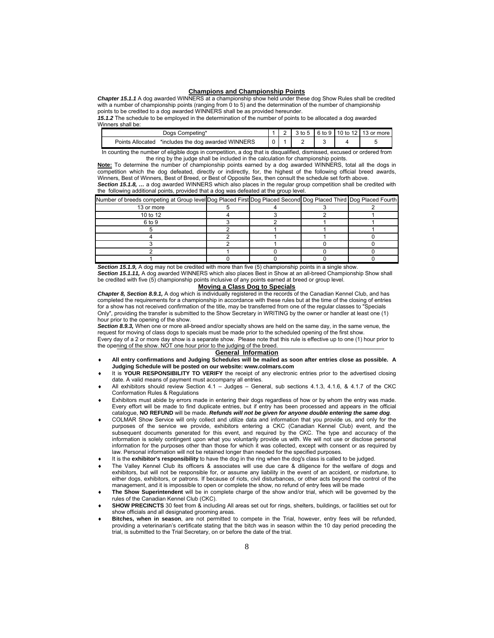#### **Champions and Championship Points**

*Chapter 15.1.1* A dog awarded WINNERS at a championship show held under these dog Show Rules shall be credited with a number of championship points (ranging from 0 to 5) and the determination of the number of championship points to be credited to a dog awarded WINNERS shall be as provided hereunder.

*15.1.2* The schedule to be employed in the determination of the number of points to be allocated a dog awarded Winners shall be:

| Competing*<br>Joas                                    |  |      |   | 6 to 9 I | 10 to 12   13 or more |
|-------------------------------------------------------|--|------|---|----------|-----------------------|
| *includes the dog awarded WINNERS<br>Points Allocated |  |      | - |          |                       |
| _ _ _ _ _<br>.                                        |  | ---- |   |          | $-$                   |

In counting the number of eligible dogs in competition, a dog that is disqualified, dismissed, excused or ordered from the ring by the judge shall be included in the calculation for championship points.

**Note:** To determine the number of championship points earned by a dog awarded WINNERS, total all the dogs in competition which the dog defeated, directly or indirectly, for, the highest of the following official breed awards, Winners, Best of Winners, Best of Breed, or Best of Opposite Sex, then consult the schedule set forth above. *Section 15.1.8, …* a dog awarded WINNERS which also places in the regular group competition shall be credited with

the following additional points, provided that a dog was defeated at the group level.

| Number of breeds competing at Group level Dog Placed First Dog Placed Second Dog Placed Third Dog Placed Fourth |  |  |
|-----------------------------------------------------------------------------------------------------------------|--|--|
| 13 or more                                                                                                      |  |  |
| 10 to 12                                                                                                        |  |  |
| 6 to 9                                                                                                          |  |  |
|                                                                                                                 |  |  |
|                                                                                                                 |  |  |
|                                                                                                                 |  |  |
|                                                                                                                 |  |  |
|                                                                                                                 |  |  |

*Section 15.1.9,* A dog may not be credited with more than five (5) championship points in a single show.

*Section 15.1.11,* A dog awarded WINNERS which also places Best in Show at an all-breed Championship Show shall be credited with five (5) championship points inclusive of any points earned at breed or group level.

#### **Moving a Class Dog to Specials**

*Chapter 8, Section 8.9.1,* A dog which is individually registered in the records of the Canadian Kennel Club, and has completed the requirements for a championship in accordance with these rules but at the time of the closing of entries for a show has not received confirmation of the title, may be transferred from one of the regular classes to "Specials Only", providing the transfer is submitted to the Show Secretary in WRITING by the owner or handler at least one (1) hour prior to the opening of the show.

*Section 8.9.3,* When one or more all-breed and/or specialty shows are held on the same day, in the same venue, the request for moving of class dogs to specials must be made prior to the scheduled opening of the first show. Every day of a 2 or more day show is a separate show. Please note that this rule is effective up to one (1) hour prior to the opening of the show. NOT one hour prior to the judging of the breed.

#### **General Information**

- **All entry confirmations and Judging Schedules will be mailed as soon after entries close as possible. A Judging Schedule will be posted on our website: www.colmars.com**
- It is **YOUR RESPONSIBILITY TO VERIFY** the receipt of any electronic entries prior to the advertised closing date. A valid means of payment must accompany all entries.
- All exhibitors should review Section 4.1 Judges General, sub sections 4.1.3, 4.1.6, & 4.1.7 of the CKC Conformation Rules & Regulations
- Exhibitors must abide by errors made in entering their dogs regardless of how or by whom the entry was made. Every effort will be made to find duplicate entries, but if entry has been processed and appears in the official catalogue, **NO REFUND** will be made. *Refunds will not be given for anyone double entering the same dog*.
- COLMAR Show Service will only collect and utilize data and information that you provide us, and only for the purposes of the service we provide, exhibitors entering a CKC (Canadian Kennel Club) event, and the subsequent documents generated for this event, and required by the CKC. The type and accuracy of the information is solely contingent upon what you voluntarily provide us with. We will not use or disclose personal information for the purposes other than those for which it was collected, except with consent or as required by law. Personal information will not be retained longer than needed for the specified purposes.
- It is the **exhibitor's responsibility** to have the dog in the ring when the dog's class is called to be judged.
- The Valley Kennel Club its officers & associates will use due care & diligence for the welfare of dogs and exhibitors, but will not be responsible for, or assume any liability in the event of an accident, or misfortune, to either dogs, exhibitors, or patrons. If because of riots, civil disturbances, or other acts beyond the control of the management, and it is impossible to open or complete the show, no refund of entry fees will be made
- **The Show Superintendent** will be in complete charge of the show and/or trial, which will be governed by the rules of the Canadian Kennel Club (CKC).
- **SHOW PRECINCTS** 30 feet from & including All areas set out for rings, shelters, buildings, or facilities set out for show officials and all designated grooming areas.
- **Bitches, when in season**, are not permitted to compete in the Trial, however, entry fees will be refunded, providing a veterinarian's certificate stating that the bitch was in season within the 10 day period preceding the trial, is submitted to the Trial Secretary, on or before the date of the trial.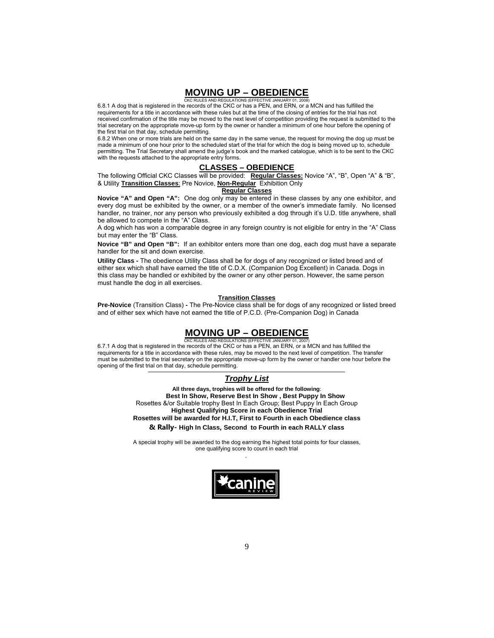#### **MOVING UP – OBEDIENCE** CKC RULES AND REGULATIONS (EFFECTIVE JANUA

6.8.1 A dog that is registered in the records of the CKC or has a PEN, and ERN, or a MCN and has fulfilled the requirements for a title in accordance with these rules but at the time of the closing of entries for the trial has not received confirmation of the title may be moved to the next level of competition providing the request is submitted to the trial secretary on the appropriate move-up form by the owner or handler a minimum of one hour before the opening of the first trial on that day, schedule permitting.

6.8.2 When one or more trials are held on the same day in the same venue, the request for moving the dog up must be made a minimum of one hour prior to the scheduled start of the trial for which the dog is being moved up to, schedule permitting. The Trial Secretary shall amend the judge's book and the marked catalogue, which is to be sent to the CKC with the requests attached to the appropriate entry forms.

#### **CLASSES – OBEDIENCE**

The following Official CKC Classes will be provided: **Regular Classes:** Novice "A", "B", Open "A" & "B", & Utility **Transition Classes**: Pre Novice, **Non-Regular** Exhibition Only

#### **Regular Classes**

**Novice "A" and Open "A":** One dog only may be entered in these classes by any one exhibitor, and every dog must be exhibited by the owner, or a member of the owner's immediate family. No licensed handler, no trainer, nor any person who previously exhibited a dog through it's U.D. title anywhere, shall be allowed to compete in the "A" Class.

A dog which has won a comparable degree in any foreign country is not eligible for entry in the "A" Class but may enter the "B" Class.

**Novice "B" and Open "B":** If an exhibitor enters more than one dog, each dog must have a separate handler for the sit and down exercise.

**Utility Class -** The obedience Utility Class shall be for dogs of any recognized or listed breed and of either sex which shall have earned the title of C.D.X. (Companion Dog Excellent) in Canada. Dogs in this class may be handled or exhibited by the owner or any other person. However, the same person must handle the dog in all exercises.

#### **Transition Classes**

**Pre-Novice** (Transition Class) **-** The Pre-Novice class shall be for dogs of any recognized or listed breed and of either sex which have not earned the title of P.C.D. (Pre-Companion Dog) in Canada

## **MOVING UP – OBEDIENCE**

CKC RULES AND REGULATIONS (EFFECTIVE JANUARY 01, 2007) 6.7.1 A dog that is registered in the records of the CKC or has a PEN, an ERN, or a MCN and has fulfilled the requirements for a title in accordance with these rules, may be moved to the next level of competition. The transfer must be submitted to the trial secretary on the appropriate move-up form by the owner or handler one hour before the opening of the first trial on that day, schedule permitting.

### *Trophy List*

**All three days, trophies will be offered for the following**: **Best In Show, Reserve Best In Show , Best Puppy In Show** Rosettes &/or Suitable trophy Best In Each Group; Best Puppy In Each Group **Highest Qualifying Score in each Obedience Trial Rosettes will be awarded for H.I.T, First to Fourth in each Obedience class & Rally- High In Class, Second to Fourth in each RALLY class**

A special trophy will be awarded to the dog earning the highest total points for four classes, one qualifying score to count in each trial .

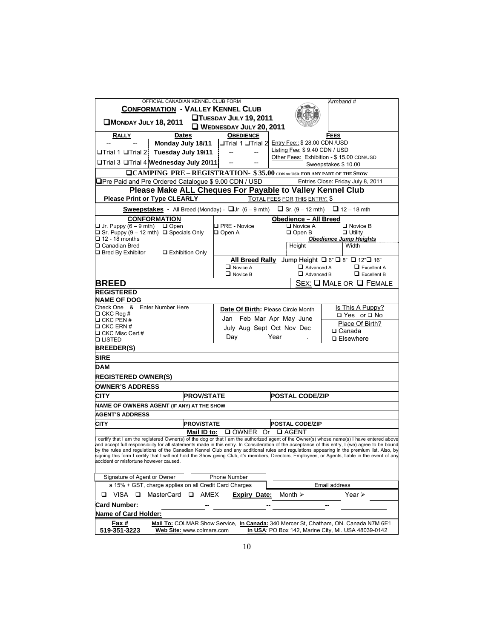| OFFICIAL CANADIAN KENNEL CLUB FORM                                                                                                                                                                                                                                                            |                                    |                               | Armband#                                                                                                                                   |
|-----------------------------------------------------------------------------------------------------------------------------------------------------------------------------------------------------------------------------------------------------------------------------------------------|------------------------------------|-------------------------------|--------------------------------------------------------------------------------------------------------------------------------------------|
| <b>CONFORMATION - VALLEY KENNEL CLUB</b>                                                                                                                                                                                                                                                      |                                    |                               |                                                                                                                                            |
| <b>CMONDAY JULY 18, 2011</b>                                                                                                                                                                                                                                                                  | <b>QTUESDAY JULY 19, 2011</b>      |                               |                                                                                                                                            |
|                                                                                                                                                                                                                                                                                               | WEDNESDAY JULY 20, 2011            |                               |                                                                                                                                            |
| RALLY<br><b>Dates</b>                                                                                                                                                                                                                                                                         | <b>OBEDIENCE</b>                   |                               | FEES                                                                                                                                       |
| Monday July 18/11 <b>Trial 1 Trial 2</b> Entry Fee:: \$28.00 CDN /USD                                                                                                                                                                                                                         |                                    | Listing Fee: \$9.40 CDN / USD |                                                                                                                                            |
| <b>□Trial 1 OTrial 2 Tuesday July 19/11</b> --                                                                                                                                                                                                                                                | $\overline{\phantom{a}}$           |                               | Other Fees: Exhibition - \$15.00 CDN/USD                                                                                                   |
| <b>□Trial 3 □Trial 4 Wednesday July 20/11</b> --                                                                                                                                                                                                                                              |                                    |                               | Sweepstakes \$10.00                                                                                                                        |
| <b>QCAMPING PRE - REGISTRATION- \$35.00</b> CDN OR USD FOR ANY PART OF THE SHOW                                                                                                                                                                                                               |                                    |                               |                                                                                                                                            |
| □Pre Paid and Pre Ordered Catalogue \$ 9.00 CDN / USD                                                                                                                                                                                                                                         |                                    |                               | Entries Close: Friday July 8, 2011                                                                                                         |
| Please Make ALL Cheques For Payable to Valley Kennel Club                                                                                                                                                                                                                                     |                                    |                               |                                                                                                                                            |
| <b>Please Print or Type CLEARLY</b>                                                                                                                                                                                                                                                           |                                    | TOTAL FEES FOR THIS ENTRY: \$ |                                                                                                                                            |
| <b>Sweepstakes</b> - All Breed (Monday) - $\Box$ or $(6-9$ mth) $\Box$ Sr. $(9-12$ mth) $\Box$ 12 - 18 mth                                                                                                                                                                                    |                                    |                               |                                                                                                                                            |
| <b>CONFORMATION</b>                                                                                                                                                                                                                                                                           |                                    | <b>Obedience - All Breed</b>  |                                                                                                                                            |
| $\Box$ Jr. Puppy $\overline{(6-9 \text{ mth})}$ $\Box$ Open                                                                                                                                                                                                                                   | <b>D</b> PRE - Novice              | □ Novice A                    | $\square$ Novice B                                                                                                                         |
| $\Box$ Sr. Puppy (9 – 12 mth) $\Box$ Specials Only<br>$\Box$ 12 - 18 months                                                                                                                                                                                                                   | $\Box$ Open A                      | $\Box$ Open B                 | $\Box$ Utility<br><b>Obedience Jump Heights</b>                                                                                            |
| □ Canadian Bred                                                                                                                                                                                                                                                                               |                                    | Height                        | Width                                                                                                                                      |
| $\Box$ Bred By Exhibitor $\Box$ Exhibition Only                                                                                                                                                                                                                                               |                                    |                               |                                                                                                                                            |
|                                                                                                                                                                                                                                                                                               |                                    |                               | All Breed Rally Jump Height $\Box$ 6" $\Box$ 8" $\Box$ 12" $\Box$ 16"                                                                      |
|                                                                                                                                                                                                                                                                                               | $\Box$ Novice A                    |                               | $\Box$ Advanced A<br>$\Box$ Excellent A                                                                                                    |
|                                                                                                                                                                                                                                                                                               | $\Box$ Novice B                    |                               | $\Box$ Advanced B $\Box$ Excellent B                                                                                                       |
| <b>BREED</b>                                                                                                                                                                                                                                                                                  |                                    |                               | SEX: Q MALE OR Q FEMALE                                                                                                                    |
| <b>REGISTERED</b>                                                                                                                                                                                                                                                                             |                                    |                               |                                                                                                                                            |
| <b>NAME OF DOG</b><br>Check One & Enter Number Here                                                                                                                                                                                                                                           |                                    |                               |                                                                                                                                            |
| $\Box$ CKC Reg #                                                                                                                                                                                                                                                                              | Date Of Birth: Please Circle Month |                               | Is This A Puppy?<br>□ Yes or □ No                                                                                                          |
| $\Box$ CKC PEN #                                                                                                                                                                                                                                                                              | Jan Feb Mar Apr May June           |                               | Place Of Birth?                                                                                                                            |
| $\Box$ CKC ERN #                                                                                                                                                                                                                                                                              | July Aug Sept Oct Nov Dec          |                               | □ Canada                                                                                                                                   |
| □ CKC Misc Cert.#<br><b>□ LISTED</b>                                                                                                                                                                                                                                                          | Day Year _______                   |                               | □ Elsewhere                                                                                                                                |
| <b>BREEDER(S)</b>                                                                                                                                                                                                                                                                             |                                    |                               |                                                                                                                                            |
| SIRE                                                                                                                                                                                                                                                                                          |                                    |                               |                                                                                                                                            |
|                                                                                                                                                                                                                                                                                               |                                    |                               |                                                                                                                                            |
| <b>DAM</b>                                                                                                                                                                                                                                                                                    |                                    |                               |                                                                                                                                            |
| <b>REGISTERED OWNER(S)</b>                                                                                                                                                                                                                                                                    |                                    |                               |                                                                                                                                            |
| <b>OWNER'S ADDRESS</b>                                                                                                                                                                                                                                                                        |                                    |                               |                                                                                                                                            |
| <b>PROV/STATE</b><br>CITY                                                                                                                                                                                                                                                                     |                                    | <b>POSTAL CODE/ZIP</b>        |                                                                                                                                            |
| NAME OF OWNERS AGENT (IF ANY) AT THE SHOW                                                                                                                                                                                                                                                     |                                    |                               |                                                                                                                                            |
| <b>AGENT'S ADDRESS</b>                                                                                                                                                                                                                                                                        |                                    |                               |                                                                                                                                            |
| <b>PROV/STATE</b><br><b>CITY</b>                                                                                                                                                                                                                                                              |                                    | <b>POSTAL CODE/ZIP</b>        |                                                                                                                                            |
| Mail ID to:                                                                                                                                                                                                                                                                                   | <b>□ OWNER Or □ AGENT</b>          |                               |                                                                                                                                            |
| certify that I am the registered Owner(s) of the dog or that I am the authorized agent of the Owner(s) whose name(s) I have entered above<br>and accept full responsibility for all statements made in this entry. In Consideration of the acceptance of this entry, I (we) agree to be bound |                                    |                               |                                                                                                                                            |
| by the rules and regulations of the Canadian Kennel Club and any additional rules and regulations appearing in the premium list. Also, by                                                                                                                                                     |                                    |                               |                                                                                                                                            |
| signing this form I certify that I will not hold the Show giving Club, it's members, Directors, Employees, or Agents, liable in the event of any                                                                                                                                              |                                    |                               |                                                                                                                                            |
| accident or misfortune however caused.                                                                                                                                                                                                                                                        |                                    |                               |                                                                                                                                            |
| Signature of Agent or Owner                                                                                                                                                                                                                                                                   | Phone Number                       |                               |                                                                                                                                            |
| a 15% + GST, charge applies on all Credit Card Charges                                                                                                                                                                                                                                        |                                    |                               | Email address                                                                                                                              |
| VISA<br>MasterCard<br>□<br>AMEX<br>$\Box$                                                                                                                                                                                                                                                     | <b>Expiry Date:</b>                | Month $\geq$                  | Year $\triangleright$                                                                                                                      |
| <u>Card Number:</u>                                                                                                                                                                                                                                                                           |                                    |                               |                                                                                                                                            |
| Name of Card Holder:                                                                                                                                                                                                                                                                          |                                    |                               |                                                                                                                                            |
|                                                                                                                                                                                                                                                                                               |                                    |                               |                                                                                                                                            |
| <u>Fax #</u><br>519-351-3223<br>Web Site: www.colmars.com                                                                                                                                                                                                                                     |                                    |                               | Mail To: COLMAR Show Service, In Canada: 340 Mercer St, Chatham, ON. Canada N7M 6E1<br>In USA: PO Box 142, Marine City, MI. USA 48039-0142 |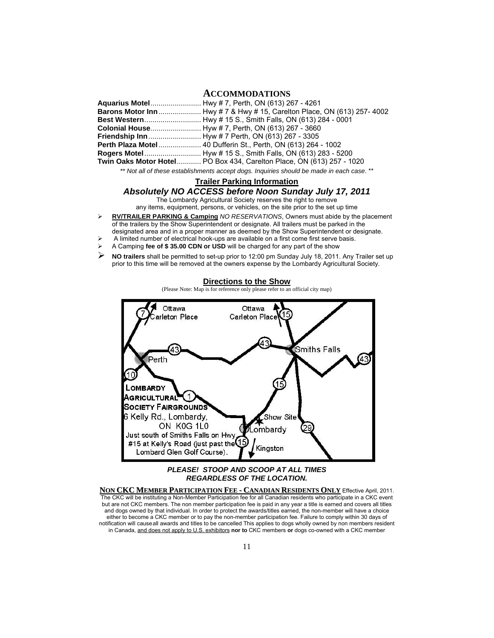### **ACCOMMODATIONS**

| Barons Motor Inn  Hwy #7 & Hwy # 15, Carelton Place, ON (613) 257-4002 |
|------------------------------------------------------------------------|
|                                                                        |
|                                                                        |
|                                                                        |
| Perth Plaza Motel  40 Dufferin St., Perth, ON (613) 264 - 1002         |
|                                                                        |
| Twin Oaks Motor Hotel PO Box 434, Carelton Place, ON (613) 257 - 1020  |
|                                                                        |

*\*\* Not all of these establishments accept dogs. Inquiries should be made in each case*. \*\*

#### **Trailer Parking Information**

## *Absolutely NO ACCESS before Noon Sunday July 17, 2011*

The Lombardy Agricultural Society reserves the right to remove

any items, equipment, persons, or vehicles, on the site prior to the set up time

 **RV/TRAILER PARKING & Camping** *NO RESERVATIONS*, Owners must abide by the placement of the trailers by the Show Superintendent or designate. All trailers must be parked in the designated area and in a proper manner as deemed by the Show Superintendent or designate.

- A limited number of electrical hook-ups are available on a first come first serve basis.
- A Camping **fee of \$ 35.00 CDN or USD** will be charged for any part of the show
- **NO trailers** shall be permitted to set-up prior to 12:00 pm Sunday July 18, 2011. Any Trailer set up prior to this time will be removed at the owners expense by the Lombardy Agricultural Society.



*PLEASE! STOOP AND SCOOP AT ALL TIMES REGARDLESS OF THE LOCATION.* 

**NON CKC MEMBER PARTICIPATION FEE - CANADIAN RESIDENTS ONLY** Effective April, 2011. The CKC will be instituting a Non-Member Participation fee for all Canadian residents who participate in a CKC event but are not CKC members. The non member participation fee is paid in any year a title is earned and covers all titles and dogs owned by that individual. In order to protect the awards/titles earned, the non-member will have a choice either to become a CKC member or to pay the non-member participation fee. Failure to comply within 30 days of notification will causeall awards and titles to be cancelled This applies to dogs wholly owned by non members resident in Canada, and does not apply to U.S. exhibitors **nor to** CKC members **or** dogs co-owned with a CKC member